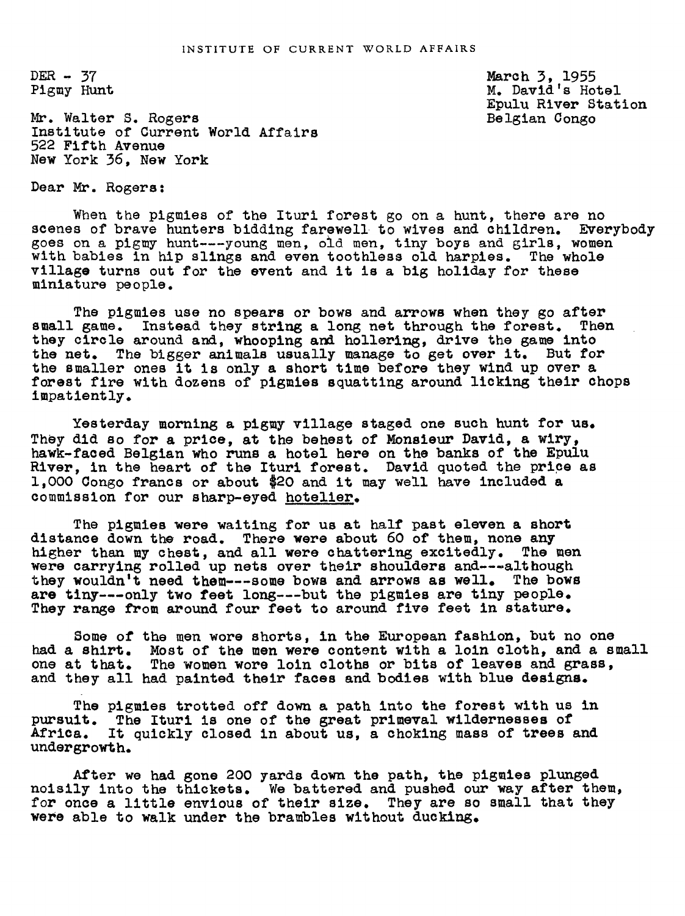$DER - 37$ Pigmy Hunt March 3, 1955 M. David's Hotel Epulu River Station Belgian Conge

Mr. Walter S. Rogers Institute of Current World Affairs 522 Fifth Avenue New York 36. New York

Dear Mr. Rogers:

When the pigmies of the Ituri forest go on a hunt, there are no scenes of brave hunters bidding farewell to wives and children. Everybody goes on a pigmy hunt---young men, old men, tiny boys and girls, women with babies in hip slings and even toothless old harpies. The whole village turns out for the event and it is a big holiday for these miniature people.

The pigmies use no spears or bows and arrows when they go after<br>game. Instead they string a long net through the forest. Then small game. Instead they string a long net through the forest. they circle around and, whooping and hollering, drive the game into the net. The bigger animals usually manage to get over it. But for the smaller ones it is only a short time before they wind up over a forest fire with dozens of pigmies squatting around licking their chops impatiently.

Yesterday morning a pigmy village staged one such hunt for us. They did so for a price, at the behest of Monsieur David, a wiry, hawk-faced Belgian who runs a hotel here on the banks of the Epulu River, in the heart of the Ituri forest. David quoted the price as 1,O00 Congo francs or about \$20 and it may well have included a commission for our sharp-eyed hotelier.

The pigmies were waiting for us at half past eleven a short distance down the road. There were about 60 of them, none any higher than my chest, and all were chattering excitedly. The men were carrying rolled up nets over their shoulders and---although they wouldn't need them---some bows and arrows as well. The bows are tiny---only two feet long---but the pigmies are tiny people. They range from around four feet to around five feet in stature.

Some of the men wore shorts, in the European fashion, but no one had a shirt. Most of the men were content with a loln cloth, and a small one at that. The women wore loin cloths or bits of leaves and grass, and they all had painted their faces and bodies with blue designs.

The pigmies trotted off down a path into the forest with us in pursuit. The Ituri is one of the great primeval wildernesses of Africa. It quickly closed in about us, a choking mass of trees and undergrowth.

After we had gone 200 yards down the path, the pigmies plunged noisily into the thickets. We battered and pushed our way after them, for once a little envious of their size. They are so small that they were able to walk under the brambles without ducking.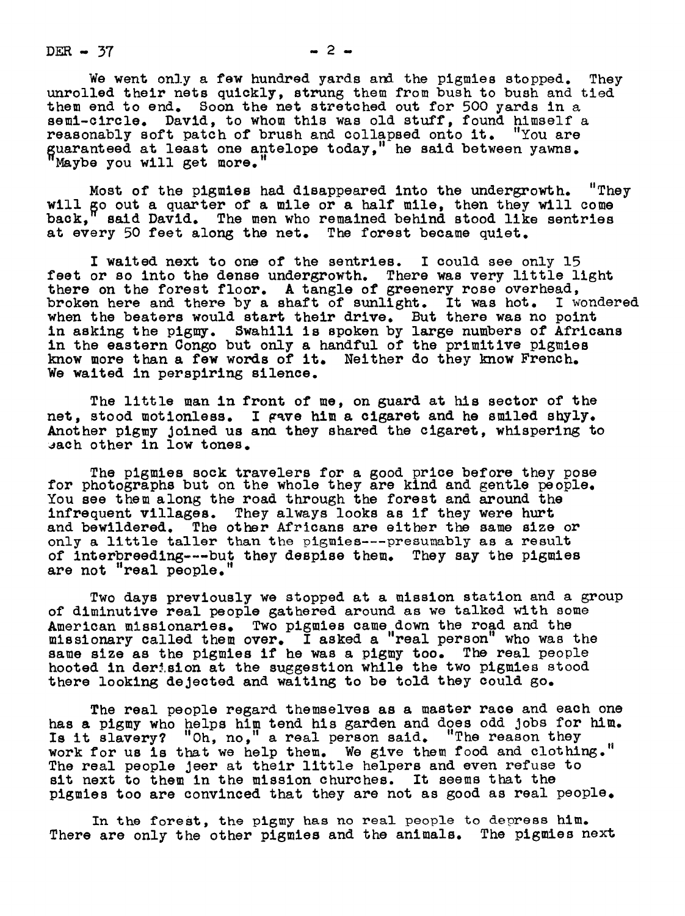$DER - 37$  2-

We went only a few hundred yards and the pigmies stopped. They unrolled their nets quickly, strung them from bush to bush and tied them end to end. Soon the net stretched out for 500 yards in a semi-circle. David, to whom this was old stuff, found himself a reasonably soft patch of brush and collapsed onto it. "You are guaranteed at least one antelope today," he said between yawns. "Maybe you will get more."

Most of the pigmies had disappeared into the undergrowth. "They will go out a quarter of a mile or a half mile, then they will come back." said David. The men who remained behind stood like sentries said David. The men who remained behind stood like sentries at every 50 feet along the net. The forest became quiet.

I waited next to one of the sentries. I could see only 15 feet or so into the dense undergrowth. There was very little light there on the forest floor. A tangle of greenery rose overhead, broken here and there by a shaft of sunlight. It was hot. I wondered when the beaters would start their drive. But there was no point in asking the pigmy. Swahili is spoken by large numbers of Africans in the eastern Congo but only a handful of the primitive pigmies know more than a few words of it. Neither do they know French. We waited in perspiring silence.

The little man in front of me, on guard at his sector of the net, stood motionless. I gave him a cigaret and he smiled shyly. Another pigmy Joined us ana they shared the cigaret, whispering to sach other in low tones.

The pigmies sock travelers for a good price before they pose for photographs but on the whole they are kind and gentle people. You see them along the road through the forest and around the infrequent villages. They always looks as if they were hurt and bewildered. The other Africans are either the same size or only a little taller than the pigmies---presumably as a result of Interbreeding---but they despise them. They say the pigmies are not "real people."

Two days previously we stopped at a mission station and a group of diminutive real people gathered around as we talked with some American missionaries. Two pigmies came down the road and the missionary called them over. I asked a "real person" who was the same size as the pigmies if he was a pigmy too. The real people hooted in derision at the suggestion while the two pigmies stood there looking dejected and waiting to be told they could go.

The real people regard themselves as a master race and each one has a pigmy who helps him tend his garden and does odd Jobs for him. Is it slavery? "Oh, no," a real person said. "The reason they work for us is that we help them. We give them food and clothing." The real people Jeer at their little helpers and even refuse to sit next to them in the mission churches. It seems that the pigmies too are convinced that they are not as good as real people.

In the forest, the pigmy has no real people to depress him. There are only the other pigmies and the animals. The pigmies next